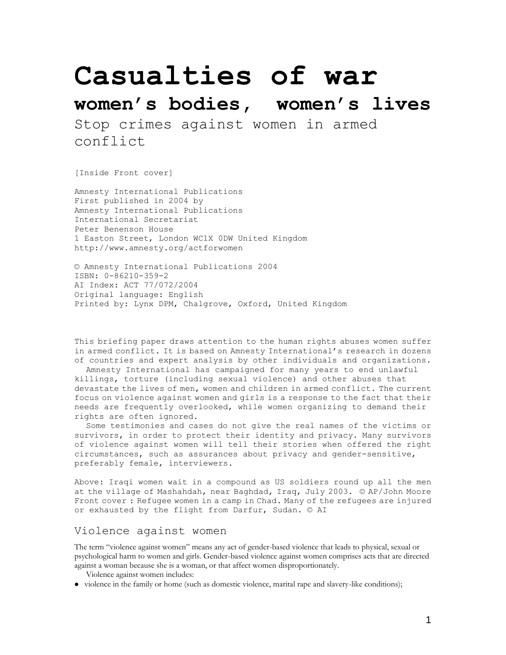# **Casualties of war**

## **women's bodies, women's lives**

Stop crimes against women in armed conflict

[Inside Front cover]

Amnesty International Publications First published in 2004 by Amnesty International Publications International Secretariat Peter Benenson House 1 Easton Street, London WC1X 0DW United Kingdom http://www.amnesty.org/actforwomen

© Amnesty International Publications 2004 ISBN: 0-86210-359-2 AI Index: ACT 77/072/2004 Original language: English Printed by: Lynx DPM, Chalgrove, Oxford, United Kingdom

This briefing paper draws attention to the human rights abuses women suffer in armed conflict. It is based on Amnesty International's research in dozens of countries and expert analysis by other individuals and organizations.

Amnesty International has campaigned for many years to end unlawful killings, torture (including sexual violence) and other abuses that devastate the lives of men, women and children in armed conflict. The current focus on violence against women and girls is a response to the fact that their needs are frequently overlooked, while women organizing to demand their rights are often ignored.

Some testimonies and cases do not give the real names of the victims or survivors, in order to protect their identity and privacy. Many survivors of violence against women will tell their stories when offered the right circumstances, such as assurances about privacy and gender-sensitive, preferably female, interviewers.

Above: Iraqi women wait in a compound as US soldiers round up all the men at the village of Mashahdah, near Baghdad, Iraq, July 2003. © AP/John Moore Front cover : Refugee women in a camp in Chad. Many of the refugees are injured or exhausted by the flight from Darfur, Sudan. © AI

## Violence against women

The term "violence against women" means any act of gender-based violence that leads to physical, sexual or psychological harm to women and girls. Gender-based violence against women comprises acts that are directed against a woman because she is a woman, or that affect women disproportionately.

Violence against women includes:

violence in the family or home (such as domestic violence, marital rape and slavery-like conditions);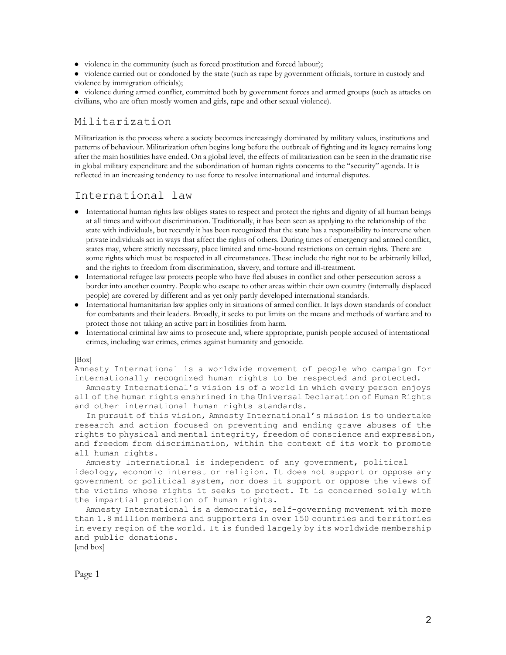• violence in the community (such as forced prostitution and forced labour);

• violence carried out or condoned by the state (such as rape by government officials, torture in custody and violence by immigration officials);

violence during armed conflict, committed both by government forces and armed groups (such as attacks on civilians, who are often mostly women and girls, rape and other sexual violence).

## Militarization

Militarization is the process where a society becomes increasingly dominated by military values, institutions and patterns of behaviour. Militarization often begins long before the outbreak of fighting and its legacy remains long after the main hostilities have ended. On a global level, the effects of militarization can be seen in the dramatic rise in global military expenditure and the subordination of human rights concerns to the "security" agenda. It is reflected in an increasing tendency to use force to resolve international and internal disputes.

## International law

- International human rights law obliges states to respect and protect the rights and dignity of all human beings at all times and without discrimination. Traditionally, it has been seen as applying to the relationship of the state with individuals, but recently it has been recognized that the state has a responsibility to intervene when private individuals act in ways that affect the rights of others. During times of emergency and armed conflict, states may, where strictly necessary, place limited and time-bound restrictions on certain rights. There are some rights which must be respected in all circumstances. These include the right not to be arbitrarily killed, and the rights to freedom from discrimination, slavery, and torture and ill-treatment.
- International refugee law protects people who have fled abuses in conflict and other persecution across a border into another country. People who escape to other areas within their own country (internally displaced people) are covered by different and as yet only partly developed international standards.
- International humanitarian law applies only in situations of armed conflict. It lays down standards of conduct for combatants and their leaders. Broadly, it seeks to put limits on the means and methods of warfare and to protect those not taking an active part in hostilities from harm.
- International criminal law aims to prosecute and, where appropriate, punish people accused of international crimes, including war crimes, crimes against humanity and genocide.

#### [Box]

Amnesty International is a worldwide movement of people who campaign for internationally recognized human rights to be respected and protected.

Amnesty International's vision is of a world in which every person enjoys all of the human rights enshrined in the Universal Declaration of Human Rights and other international human rights standards.

In pursuit of this vision, Amnesty International's mission is to undertake research and action focused on preventing and ending grave abuses of the rights to physical and mental integrity, freedom of conscience and expression, and freedom from discrimination, within the context of its work to promote all human rights.

Amnesty International is independent of any government, political ideology, economic interest or religion. It does not support or oppose any government or political system, nor does it support or oppose the views of the victims whose rights it seeks to protect. It is concerned solely with the impartial protection of human rights.

Amnesty International is a democratic, self-governing movement with more than 1.8 million members and supporters in over 150 countries and territories in every region of the world. It is funded largely by its worldwide membership and public donations.

[end box]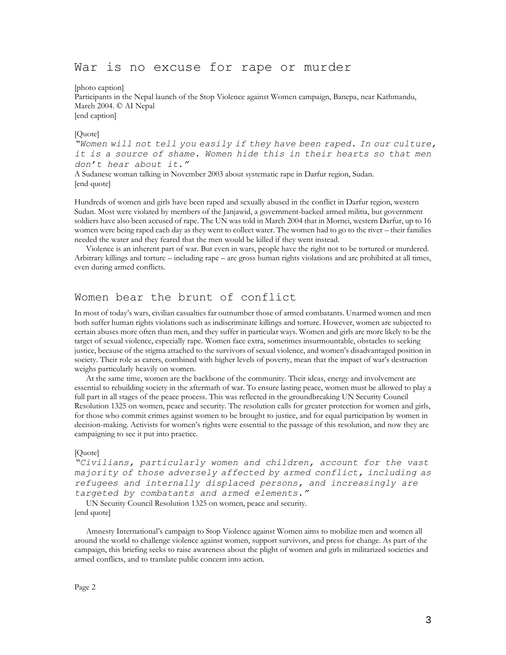## War is no excuse for rape or murder

[photo caption]

Participants in the Nepal launch of the Stop Violence against Women campaign, Banepa, near Kathmandu, March 2004. © AI Nepal [end caption]

#### [Quote]

*"Women will not tell you easily if they have been raped. In our culture, it is a source of shame. Women hide this in their hearts so that men don't hear about it."*

A Sudanese woman talking in November 2003 about systematic rape in Darfur region, Sudan. [end quote]

Hundreds of women and girls have been raped and sexually abused in the conflict in Darfur region, western Sudan. Most were violated by members of the Janjawid, a government-backed armed militia, but government soldiers have also been accused of rape. The UN was told in March 2004 that in Mornei, western Darfur, up to 16 women were being raped each day as they went to collect water. The women had to go to the river – their families needed the water and they feared that the men would be killed if they went instead.

Violence is an inherent part of war. But even in wars, people have the right not to be tortured or murdered. Arbitrary killings and torture – including rape – are gross human rights violations and are prohibited at all times, even during armed conflicts.

## Women bear the brunt of conflict

In most of today's wars, civilian casualties far outnumber those of armed combatants. Unarmed women and men both suffer human rights violations such as indiscriminate killings and torture. However, women are subjected to certain abuses more often than men, and they suffer in particular ways. Women and girls are more likely to be the target of sexual violence, especially rape. Women face extra, sometimes insurmountable, obstacles to seeking justice, because of the stigma attached to the survivors of sexual violence, and women's disadvantaged position in society. Their role as carers, combined with higher levels of poverty, mean that the impact of war's destruction weighs particularly heavily on women.

At the same time, women are the backbone of the community. Their ideas, energy and involvement are essential to rebuilding society in the aftermath of war. To ensure lasting peace, women must be allowed to play a full part in all stages of the peace process. This was reflected in the groundbreaking UN Security Council Resolution 1325 on women, peace and security. The resolution calls for greater protection for women and girls, for those who commit crimes against women to be brought to justice, and for equal participation by women in decision-making. Activists for women's rights were essential to the passage of this resolution, and now they are campaigning to see it put into practice.

#### [Quote]

```
"Civilians, particularly women and children, account for the vast 
majority of those adversely affected by armed conflict, including as 
refugees and internally displaced persons, and increasingly are 
targeted by combatants and armed elements."
```
UN Security Council Resolution 1325 on women, peace and security. [end quote]

Amnesty International's campaign to Stop Violence against Women aims to mobilize men and women all around the world to challenge violence against women, support survivors, and press for change. As part of the campaign, this briefing seeks to raise awareness about the plight of women and girls in militarized societies and armed conflicts, and to translate public concern into action.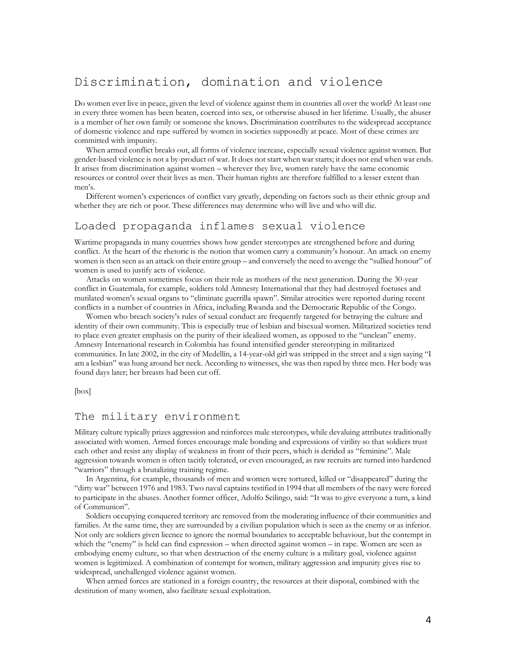## Discrimination, domination and violence

Do women ever live in peace, given the level of violence against them in countries all over the world? At least one in every three women has been beaten, coerced into sex, or otherwise abused in her lifetime. Usually, the abuser is a member of her own family or someone she knows. Discrimination contributes to the widespread acceptance of domestic violence and rape suffered by women in societies supposedly at peace. Most of these crimes are committed with impunity.

When armed conflict breaks out, all forms of violence increase, especially sexual violence against women. But gender-based violence is not a by-product of war. It does not start when war starts; it does not end when war ends. It arises from discrimination against women – wherever they live, women rarely have the same economic resources or control over their lives as men. Their human rights are therefore fulfilled to a lesser extent than men's.

Different women's experiences of conflict vary greatly, depending on factors such as their ethnic group and whether they are rich or poor. These differences may determine who will live and who will die.

## Loaded propaganda inflames sexual violence

Wartime propaganda in many countries shows how gender stereotypes are strengthened before and during conflict. At the heart of the rhetoric is the notion that women carry a community's honour. An attack on enemy women is then seen as an attack on their entire group – and conversely the need to avenge the "sullied honour" of women is used to justify acts of violence.

Attacks on women sometimes focus on their role as mothers of the next generation. During the 30-year conflict in Guatemala, for example, soldiers told Amnesty International that they had destroyed foetuses and mutilated women's sexual organs to "eliminate guerrilla spawn". Similar atrocities were reported during recent conflicts in a number of countries in Africa, including Rwanda and the Democratic Republic of the Congo.

Women who breach society's rules of sexual conduct are frequently targeted for betraying the culture and identity of their own community. This is especially true of lesbian and bisexual women. Militarized societies tend to place even greater emphasis on the purity of their idealized women, as opposed to the "unclean" enemy. Amnesty International research in Colombia has found intensified gender stereotyping in militarized communities. In late 2002, in the city of Medellín, a 14-year-old girl was stripped in the street and a sign saying "I am a lesbian" was hung around her neck. According to witnesses, she was then raped by three men. Her body was found days later; her breasts had been cut off.

[box]

## The military environment

Military culture typically prizes aggression and reinforces male stereotypes, while devaluing attributes traditionally associated with women. Armed forces encourage male bonding and expressions of virility so that soldiers trust each other and resist any display of weakness in front of their peers, which is derided as "feminine". Male aggression towards women is often tacitly tolerated, or even encouraged, as raw recruits are turned into hardened "warriors" through a brutalizing training regime.

In Argentina, for example, thousands of men and women were tortured, killed or "disappeared" during the "dirty war" between 1976 and 1983. Two naval captains testified in 1994 that all members of the navy were forced to participate in the abuses. Another former officer, Adolfo Scilingo, said: "It was to give everyone a turn, a kind of Communion".

Soldiers occupying conquered territory are removed from the moderating influence of their communities and families. At the same time, they are surrounded by a civilian population which is seen as the enemy or as inferior. Not only are soldiers given licence to ignore the normal boundaries to acceptable behaviour, but the contempt in which the "enemy" is held can find expression – when directed against women – in rape. Women are seen as embodying enemy culture, so that when destruction of the enemy culture is a military goal, violence against women is legitimized. A combination of contempt for women, military aggression and impunity gives rise to widespread, unchallenged violence against women.

When armed forces are stationed in a foreign country, the resources at their disposal, combined with the destitution of many women, also facilitate sexual exploitation.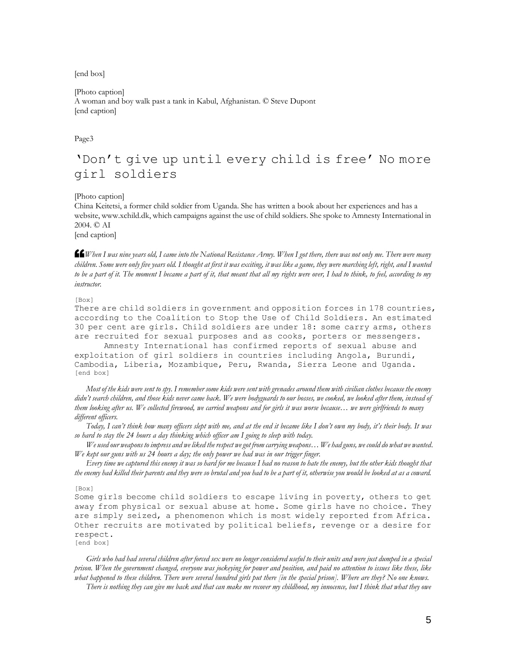[end box]

[Photo caption] A woman and boy walk past a tank in Kabul, Afghanistan. © Steve Dupont [end caption]

Page3

## 'Don't give up until every child is free' No more girl soldiers

[Photo caption]

China Keitetsi, a former child soldier from Uganda. She has written a book about her experiences and has a website, www.xchild.dk, which campaigns against the use of child soldiers. She spoke to Amnesty International in 2004. © AI

[end caption]

**££**When I was nine years old, I came into the National Resistance Army. When I got there, there was not only me. There were many<br>children. Some were only five years old. I thought at first it was exciting, it was like a g *children. Some were only five years old. I thought at first it was exciting, it was like a game, they were marching left, right, and I wanted to be a part of it. The moment I became a part of it, that meant that all my rights were over, I had to think, to feel, according to my instructor.*

[Box]

There are child soldiers in government and opposition forces in 178 countries, according to the Coalition to Stop the Use of Child Soldiers. An estimated 30 per cent are girls. Child soldiers are under 18: some carry arms, others are recruited for sexual purposes and as cooks, porters or messengers.

Amnesty International has confirmed reports of sexual abuse and exploitation of girl soldiers in countries including Angola, Burundi, Cambodia, Liberia, Mozambique, Peru, Rwanda, Sierra Leone and Uganda. [end box]

*Most of the kids were sent to spy. I remember some kids were sent with grenades around them with civilian clothes because the enemy didn't search children, and those kids never came back. We were bodyguards to our bosses, we cooked, we looked after them, instead of them looking after us. We collected firewood, we carried weapons and for girls it was worse because… we were girlfriends to many different officers.* 

*Today, I can't think how many officers slept with me, and at the end it became like I don't own my body, it's their body. It was so hard to stay the 24 hours a day thinking which officer am I going to sleep with today.*

*We used our weapons to impress and we liked the respect we got from carrying weapons… We had guns, we could do what we wanted. We kept our guns with us 24 hours a day; the only power we had was in our trigger finger.* 

*Every time we captured this enemy it was so hard for me because I had no reason to hate the enemy, but the other kids thought that the enemy had killed their parents and they were so brutal and you had to be a part of it, otherwise you would be looked at as a coward.*

[Box]

Some girls become child soldiers to escape living in poverty, others to get away from physical or sexual abuse at home. Some girls have no choice. They are simply seized, a phenomenon which is most widely reported from Africa. Other recruits are motivated by political beliefs, revenge or a desire for respect.

[end box]

*Girls who had had several children after forced sex were no longer considered useful to their units and were just dumped in a special prison. When the government changed, everyone was jockeying for power and position, and paid no attention to issues like these, like what happened to these children. There were several hundred girls put there [in the special prison]. Where are they? No one knows.* 

*There is nothing they can give me back and that can make me recover my childhood, my innocence, but I think that what they owe*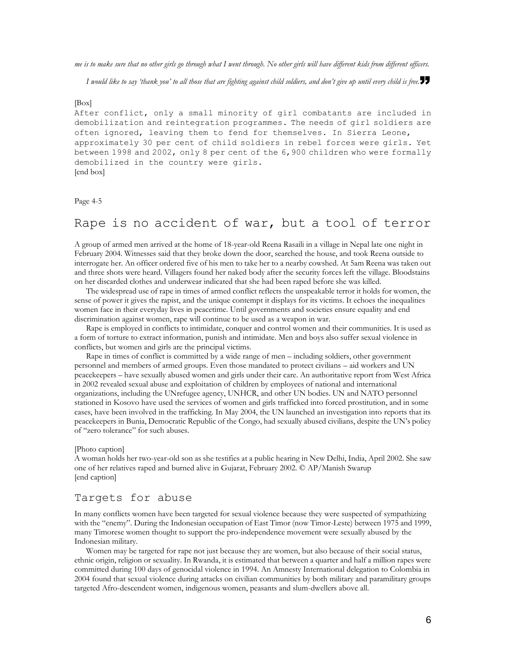*me is to make sure that no other girls go through what I went through. No other girls will have different kids from different officers.*

*I would like to say 'thank you' to all those that are fighting against child soldiers, and don't give up until every child is free.*"

#### [Box]

After conflict, only a small minority of girl combatants are included in demobilization and reintegration programmes. The needs of girl soldiers are often ignored, leaving them to fend for themselves. In Sierra Leone, approximately 30 per cent of child soldiers in rebel forces were girls. Yet between 1998 and 2002, only 8 per cent of the 6,900 children who were formally demobilized in the country were girls. [end box]

Page 4-5

## Rape is no accident of war, but a tool of terror

A group of armed men arrived at the home of 18-year-old Reena Rasaili in a village in Nepal late one night in February 2004. Witnesses said that they broke down the door, searched the house, and took Reena outside to interrogate her. An officer ordered five of his men to take her to a nearby cowshed. At 5am Reena was taken out and three shots were heard. Villagers found her naked body after the security forces left the village. Bloodstains on her discarded clothes and underwear indicated that she had been raped before she was killed.

The widespread use of rape in times of armed conflict reflects the unspeakable terror it holds for women, the sense of power it gives the rapist, and the unique contempt it displays for its victims. It echoes the inequalities women face in their everyday lives in peacetime. Until governments and societies ensure equality and end discrimination against women, rape will continue to be used as a weapon in war.

Rape is employed in conflicts to intimidate, conquer and control women and their communities. It is used as a form of torture to extract information, punish and intimidate. Men and boys also suffer sexual violence in conflicts, but women and girls are the principal victims.

Rape in times of conflict is committed by a wide range of men – including soldiers, other government personnel and members of armed groups. Even those mandated to protect civilians – aid workers and UN peacekeepers – have sexually abused women and girls under their care. An authoritative report from West Africa in 2002 revealed sexual abuse and exploitation of children by employees of national and international organizations, including the UNrefugee agency, UNHCR, and other UN bodies. UN and NATO personnel stationed in Kosovo have used the services of women and girls trafficked into forced prostitution, and in some cases, have been involved in the trafficking. In May 2004, the UN launched an investigation into reports that its peacekeepers in Bunia, Democratic Republic of the Congo, had sexually abused civilians, despite the UN's policy of "zero tolerance" for such abuses.

#### [Photo caption]

A woman holds her two-year-old son as she testifies at a public hearing in New Delhi, India, April 2002. She saw one of her relatives raped and burned alive in Gujarat, February 2002. © AP/Manish Swarup [end caption]

## Targets for abuse

In many conflicts women have been targeted for sexual violence because they were suspected of sympathizing with the "enemy". During the Indonesian occupation of East Timor (now Timor-Leste) between 1975 and 1999, many Timorese women thought to support the pro-independence movement were sexually abused by the Indonesian military.

Women may be targeted for rape not just because they are women, but also because of their social status, ethnic origin, religion or sexuality. In Rwanda, it is estimated that between a quarter and half a million rapes were committed during 100 days of genocidal violence in 1994. An Amnesty International delegation to Colombia in 2004 found that sexual violence during attacks on civilian communities by both military and paramilitary groups targeted Afro-descendent women, indigenous women, peasants and slum-dwellers above all.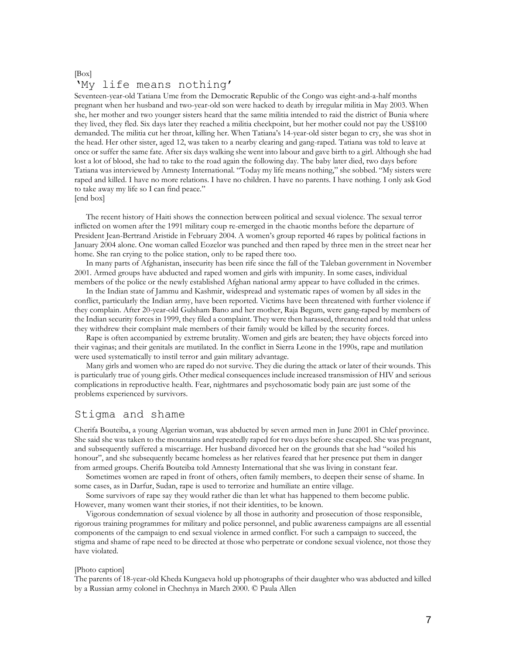#### [Box] 'My life means nothing'

Seventeen-year-old Tatiana Ume from the Democratic Republic of the Congo was eight-and-a-half months pregnant when her husband and two-year-old son were hacked to death by irregular militia in May 2003. When she, her mother and two younger sisters heard that the same militia intended to raid the district of Bunia where they lived, they fled. Six days later they reached a militia checkpoint, but her mother could not pay the US\$100 demanded. The militia cut her throat, killing her. When Tatiana's 14-year-old sister began to cry, she was shot in the head. Her other sister, aged 12, was taken to a nearby clearing and gang-raped. Tatiana was told to leave at once or suffer the same fate. After six days walking she went into labour and gave birth to a girl. Although she had lost a lot of blood, she had to take to the road again the following day. The baby later died, two days before Tatiana was interviewed by Amnesty International. "Today my life means nothing," she sobbed. "My sisters were raped and killed. I have no more relations. I have no children. I have no parents. I have nothing. I only ask God to take away my life so I can find peace."

[end box]

The recent history of Haiti shows the connection between political and sexual violence. The sexual terror inflicted on women after the 1991 military coup re-emerged in the chaotic months before the departure of President Jean-Bertrand Aristide in February 2004. A women's group reported 46 rapes by political factions in January 2004 alone. One woman called Eozelor was punched and then raped by three men in the street near her home. She ran crying to the police station, only to be raped there too.

In many parts of Afghanistan, insecurity has been rife since the fall of the Taleban government in November 2001. Armed groups have abducted and raped women and girls with impunity. In some cases, individual members of the police or the newly established Afghan national army appear to have colluded in the crimes.

In the Indian state of Jammu and Kashmir, widespread and systematic rapes of women by all sides in the conflict, particularly the Indian army, have been reported. Victims have been threatened with further violence if they complain. After 20-year-old Gulsham Bano and her mother, Raja Begum, were gang-raped by members of the Indian security forces in 1999, they filed a complaint. They were then harassed, threatened and told that unless they withdrew their complaint male members of their family would be killed by the security forces.

Rape is often accompanied by extreme brutality. Women and girls are beaten; they have objects forced into their vaginas; and their genitals are mutilated. In the conflict in Sierra Leone in the 1990s, rape and mutilation were used systematically to instil terror and gain military advantage.

Many girls and women who are raped do not survive. They die during the attack or later of their wounds. This is particularly true of young girls. Other medical consequences include increased transmission of HIV and serious complications in reproductive health. Fear, nightmares and psychosomatic body pain are just some of the problems experienced by survivors.

## Stigma and shame

Cherifa Bouteiba, a young Algerian woman, was abducted by seven armed men in June 2001 in Chlef province. She said she was taken to the mountains and repeatedly raped for two days before she escaped. She was pregnant, and subsequently suffered a miscarriage. Her husband divorced her on the grounds that she had "soiled his honour", and she subsequently became homeless as her relatives feared that her presence put them in danger from armed groups. Cherifa Bouteiba told Amnesty International that she was living in constant fear.

Sometimes women are raped in front of others, often family members, to deepen their sense of shame. In some cases, as in Darfur, Sudan, rape is used to terrorize and humiliate an entire village.

Some survivors of rape say they would rather die than let what has happened to them become public. However, many women want their stories, if not their identities, to be known.

Vigorous condemnation of sexual violence by all those in authority and prosecution of those responsible, rigorous training programmes for military and police personnel, and public awareness campaigns are all essential components of the campaign to end sexual violence in armed conflict. For such a campaign to succeed, the stigma and shame of rape need to be directed at those who perpetrate or condone sexual violence, not those they have violated.

#### [Photo caption]

The parents of 18-year-old Kheda Kungaeva hold up photographs of their daughter who was abducted and killed by a Russian army colonel in Chechnya in March 2000. © Paula Allen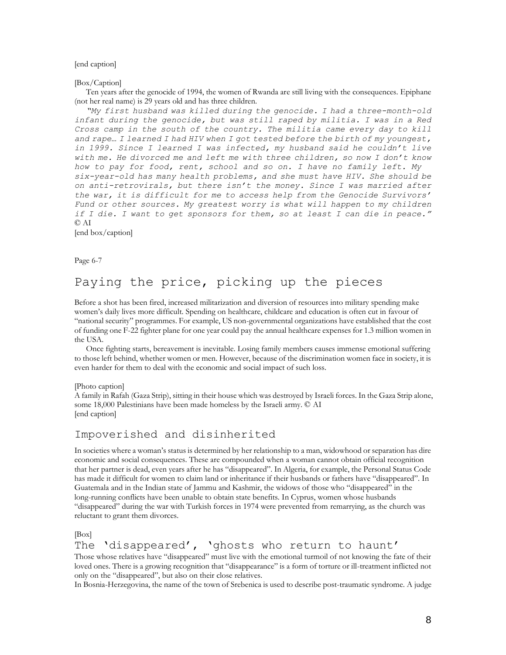#### [end caption]

[Box/Caption]

Ten years after the genocide of 1994, the women of Rwanda are still living with the consequences. Epiphane (not her real name) is 29 years old and has three children.

*"My first husband was killed during the genocide. I had a three-month-old infant during the genocide, but was still raped by militia. I was in a Red Cross camp in the south of the country. The militia came every day to kill and rape… I learned I had HIV when I got tested before the birth of my youngest, in 1999. Since I learned I was infected, my husband said he couldn't live with me. He divorced me and left me with three children, so now I don't know how to pay for food, rent, school and so on. I have no family left. My six-year-old has many health problems, and she must have HIV. She should be on anti-retrovirals, but there isn't the money. Since I was married after the war, it is difficult for me to access help from the Genocide Survivors'*  Fund or other sources. My greatest worry is what will happen to my children *if I die. I want to get sponsors for them, so at least I can die in peace."* © AI

[end box/caption]

Page 6-7

## Paying the price, picking up the pieces

Before a shot has been fired, increased militarization and diversion of resources into military spending make women's daily lives more difficult. Spending on healthcare, childcare and education is often cut in favour of "national security" programmes. For example, US non-governmental organizations have established that the cost of funding one F-22 fighter plane for one year could pay the annual healthcare expenses for 1.3 million women in the USA.

Once fighting starts, bereavement is inevitable. Losing family members causes immense emotional suffering to those left behind, whether women or men. However, because of the discrimination women face in society, it is even harder for them to deal with the economic and social impact of such loss.

[Photo caption]

A family in Rafah (Gaza Strip), sitting in their house which was destroyed by Israeli forces. In the Gaza Strip alone, some 18,000 Palestinians have been made homeless by the Israeli army. © AI [end caption]

## Impoverished and disinherited

In societies where a woman's status is determined by her relationship to a man, widowhood or separation has dire economic and social consequences. These are compounded when a woman cannot obtain official recognition that her partner is dead, even years after he has "disappeared". In Algeria, for example, the Personal Status Code has made it difficult for women to claim land or inheritance if their husbands or fathers have "disappeared". In Guatemala and in the Indian state of Jammu and Kashmir, the widows of those who "disappeared" in the long-running conflicts have been unable to obtain state benefits. In Cyprus, women whose husbands "disappeared" during the war with Turkish forces in 1974 were prevented from remarrying, as the church was reluctant to grant them divorces.

[Box]

The 'disappeared', 'ghosts who return to haunt'

Those whose relatives have "disappeared" must live with the emotional turmoil of not knowing the fate of their loved ones. There is a growing recognition that "disappearance" is a form of torture or ill-treatment inflicted not only on the "disappeared", but also on their close relatives.

In Bosnia-Herzegovina, the name of the town of Srebenica is used to describe post-traumatic syndrome. A judge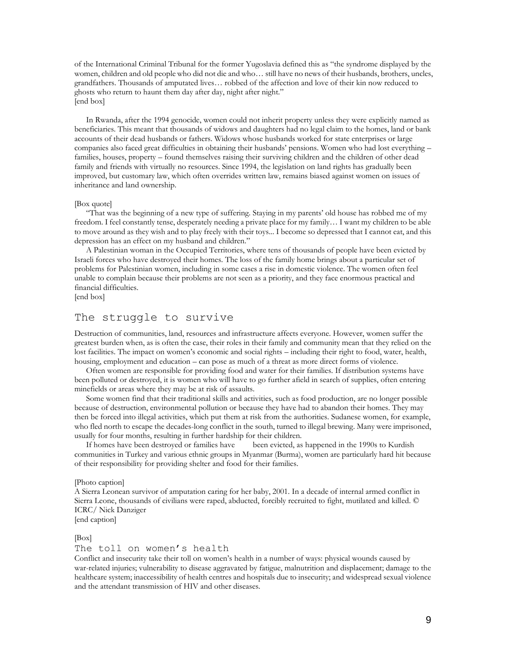of the International Criminal Tribunal for the former Yugoslavia defined this as "the syndrome displayed by the women, children and old people who did not die and who… still have no news of their husbands, brothers, uncles, grandfathers. Thousands of amputated lives… robbed of the affection and love of their kin now reduced to ghosts who return to haunt them day after day, night after night." [end box]

In Rwanda, after the 1994 genocide, women could not inherit property unless they were explicitly named as beneficiaries. This meant that thousands of widows and daughters had no legal claim to the homes, land or bank accounts of their dead husbands or fathers. Widows whose husbands worked for state enterprises or large companies also faced great difficulties in obtaining their husbands' pensions. Women who had lost everything – families, houses, property – found themselves raising their surviving children and the children of other dead family and friends with virtually no resources. Since 1994, the legislation on land rights has gradually been improved, but customary law, which often overrides written law, remains biased against women on issues of inheritance and land ownership.

#### [Box quote]

"That was the beginning of a new type of suffering. Staying in my parents' old house has robbed me of my freedom. I feel constantly tense, desperately needing a private place for my family… I want my children to be able to move around as they wish and to play freely with their toys... I become so depressed that I cannot eat, and this depression has an effect on my husband and children."

A Palestinian woman in the Occupied Territories, where tens of thousands of people have been evicted by Israeli forces who have destroyed their homes. The loss of the family home brings about a particular set of problems for Palestinian women, including in some cases a rise in domestic violence. The women often feel unable to complain because their problems are not seen as a priority, and they face enormous practical and financial difficulties.

[end box]

## The struggle to survive

Destruction of communities, land, resources and infrastructure affects everyone. However, women suffer the greatest burden when, as is often the case, their roles in their family and community mean that they relied on the lost facilities. The impact on women's economic and social rights – including their right to food, water, health, housing, employment and education – can pose as much of a threat as more direct forms of violence.

Often women are responsible for providing food and water for their families. If distribution systems have been polluted or destroyed, it is women who will have to go further afield in search of supplies, often entering minefields or areas where they may be at risk of assaults.

Some women find that their traditional skills and activities, such as food production, are no longer possible because of destruction, environmental pollution or because they have had to abandon their homes. They may then be forced into illegal activities, which put them at risk from the authorities. Sudanese women, for example, who fled north to escape the decades-long conflict in the south, turned to illegal brewing. Many were imprisoned, usually for four months, resulting in further hardship for their children.

If homes have been destroyed or families have been evicted, as happened in the 1990s to Kurdish communities in Turkey and various ethnic groups in Myanmar (Burma), women are particularly hard hit because of their responsibility for providing shelter and food for their families.

#### [Photo caption]

A Sierra Leonean survivor of amputation caring for her baby, 2001. In a decade of internal armed conflict in Sierra Leone, thousands of civilians were raped, abducted, forcibly recruited to fight, mutilated and killed. © ICRC/ Nick Danziger

[end caption]

#### [Box]

#### The toll on women's health

Conflict and insecurity take their toll on women's health in a number of ways: physical wounds caused by war-related injuries; vulnerability to disease aggravated by fatigue, malnutrition and displacement; damage to the healthcare system; inaccessibility of health centres and hospitals due to insecurity; and widespread sexual violence and the attendant transmission of HIV and other diseases.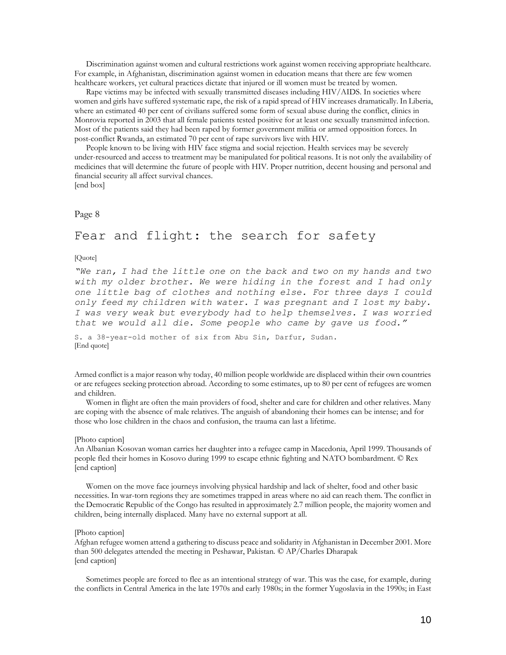Discrimination against women and cultural restrictions work against women receiving appropriate healthcare. For example, in Afghanistan, discrimination against women in education means that there are few women healthcare workers, yet cultural practices dictate that injured or ill women must be treated by women.

Rape victims may be infected with sexually transmitted diseases including HIV/AIDS. In societies where women and girls have suffered systematic rape, the risk of a rapid spread of HIV increases dramatically. In Liberia, where an estimated 40 per cent of civilians suffered some form of sexual abuse during the conflict, clinics in Monrovia reported in 2003 that all female patients tested positive for at least one sexually transmitted infection. Most of the patients said they had been raped by former government militia or armed opposition forces. In post-conflict Rwanda, an estimated 70 per cent of rape survivors live with HIV.

People known to be living with HIV face stigma and social rejection. Health services may be severely under-resourced and access to treatment may be manipulated for political reasons. It is not only the availability of medicines that will determine the future of people with HIV. Proper nutrition, decent housing and personal and financial security all affect survival chances. [end box]

## Page 8

## Fear and flight: the search for safety

#### [Quote]

*"We ran, I had the little one on the back and two on my hands and two with my older brother. We were hiding in the forest and I had only one little bag of clothes and nothing else. For three days I could only feed my children with water. I was pregnant and I lost my baby. I was very weak but everybody had to help themselves. I was worried that we would all die. Some people who came by gave us food."*

S. a 38-year-old mother of six from Abu Sin, Darfur, Sudan. [End quote]

Armed conflict is a major reason why today, 40 million people worldwide are displaced within their own countries or are refugees seeking protection abroad. According to some estimates, up to 80 per cent of refugees are women and children.

Women in flight are often the main providers of food, shelter and care for children and other relatives. Many are coping with the absence of male relatives. The anguish of abandoning their homes can be intense; and for those who lose children in the chaos and confusion, the trauma can last a lifetime.

#### [Photo caption]

An Albanian Kosovan woman carries her daughter into a refugee camp in Macedonia, April 1999. Thousands of people fled their homes in Kosovo during 1999 to escape ethnic fighting and NATO bombardment. © Rex [end caption]

Women on the move face journeys involving physical hardship and lack of shelter, food and other basic necessities. In war-torn regions they are sometimes trapped in areas where no aid can reach them. The conflict in the Democratic Republic of the Congo has resulted in approximately 2.7 million people, the majority women and children, being internally displaced. Many have no external support at all.

#### [Photo caption]

Afghan refugee women attend a gathering to discuss peace and solidarity in Afghanistan in December 2001. More than 500 delegates attended the meeting in Peshawar, Pakistan. © AP/Charles Dharapak [end caption]

Sometimes people are forced to flee as an intentional strategy of war. This was the case, for example, during the conflicts in Central America in the late 1970s and early 1980s; in the former Yugoslavia in the 1990s; in East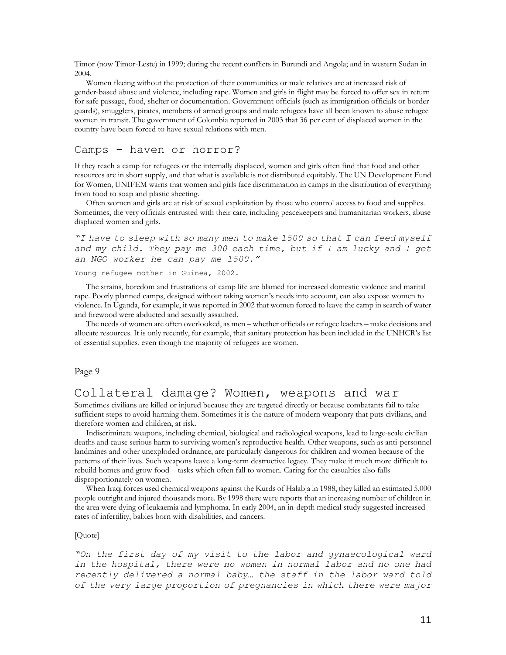Timor (now Timor-Leste) in 1999; during the recent conflicts in Burundi and Angola; and in western Sudan in 2004.

Women fleeing without the protection of their communities or male relatives are at increased risk of gender-based abuse and violence, including rape. Women and girls in flight may be forced to offer sex in return for safe passage, food, shelter or documentation. Government officials (such as immigration officials or border guards), smugglers, pirates, members of armed groups and male refugees have all been known to abuse refugee women in transit. The government of Colombia reported in 2003 that 36 per cent of displaced women in the country have been forced to have sexual relations with men.

## Camps – haven or horror?

If they reach a camp for refugees or the internally displaced, women and girls often find that food and other resources are in short supply, and that what is available is not distributed equitably. The UN Development Fund for Women, UNIFEM warns that women and girls face discrimination in camps in the distribution of everything from food to soap and plastic sheeting.

Often women and girls are at risk of sexual exploitation by those who control access to food and supplies. Sometimes, the very officials entrusted with their care, including peacekeepers and humanitarian workers, abuse displaced women and girls.

```
"I have to sleep with so many men to make 1500 so that I can feed myself 
and my child. They pay me 300 each time, but if I am lucky and I get 
an NGO worker he can pay me 1500."
```
Young refugee mother in Guinea, 2002.

The strains, boredom and frustrations of camp life are blamed for increased domestic violence and marital rape. Poorly planned camps, designed without taking women's needs into account, can also expose women to violence. In Uganda, for example, it was reported in 2002 that women forced to leave the camp in search of water and firewood were abducted and sexually assaulted.

The needs of women are often overlooked, as men – whether officials or refugee leaders – make decisions and allocate resources. It is only recently, for example, that sanitary protection has been included in the UNHCR's list of essential supplies, even though the majority of refugees are women.

Page 9

## Collateral damage? Women, weapons and war

Sometimes civilians are killed or injured because they are targeted directly or because combatants fail to take sufficient steps to avoid harming them. Sometimes it is the nature of modern weaponry that puts civilians, and therefore women and children, at risk.

Indiscriminate weapons, including chemical, biological and radiological weapons, lead to large-scale civilian deaths and cause serious harm to surviving women's reproductive health. Other weapons, such as anti-personnel landmines and other unexploded ordnance, are particularly dangerous for children and women because of the patterns of their lives. Such weapons leave a long-term destructive legacy. They make it much more difficult to rebuild homes and grow food – tasks which often fall to women. Caring for the casualties also falls disproportionately on women.

When Iraqi forces used chemical weapons against the Kurds of Halabja in 1988, they killed an estimated 5,000 people outright and injured thousands more. By 1998 there were reports that an increasing number of children in the area were dying of leukaemia and lymphoma. In early 2004, an in-depth medical study suggested increased rates of infertility, babies born with disabilities, and cancers.

#### [Quote]

*"On the first day of my visit to the labor and gynaecological ward in the hospital, there were no women in normal labor and no one had recently delivered a normal baby… the staff in the labor ward told of the very large proportion of pregnancies in which there were major*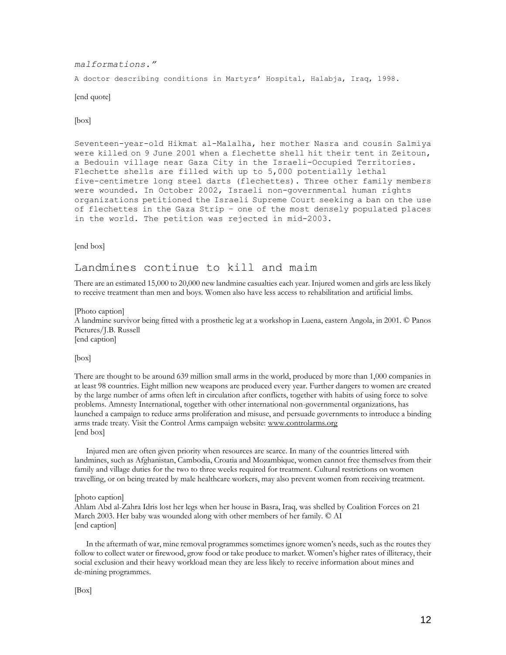#### *malformations."*

A doctor describing conditions in Martyrs' Hospital, Halabja, Iraq, 1998.

[end quote]

[box]

Seventeen-year-old Hikmat al-Malalha, her mother Nasra and cousin Salmiya were killed on 9 June 2001 when a flechette shell hit their tent in Zeitoun, a Bedouin village near Gaza City in the Israeli-Occupied Territories. Flechette shells are filled with up to 5,000 potentially lethal five-centimetre long steel darts (flechettes). Three other family members were wounded. In October 2002, Israeli non-governmental human rights organizations petitioned the Israeli Supreme Court seeking a ban on the use of flechettes in the Gaza Strip – one of the most densely populated places in the world. The petition was rejected in mid-2003.

[end box]

## Landmines continue to kill and maim

There are an estimated 15,000 to 20,000 new landmine casualties each year. Injured women and girls are less likely to receive treatment than men and boys. Women also have less access to rehabilitation and artificial limbs.

[Photo caption] A landmine survivor being fitted with a prosthetic leg at a workshop in Luena, eastern Angola, in 2001. © Panos Pictures/J.B. Russell [end caption]

[box]

There are thought to be around 639 million small arms in the world, produced by more than 1,000 companies in at least 98 countries. Eight million new weapons are produced every year. Further dangers to women are created by the large number of arms often left in circulation after conflicts, together with habits of using force to solve problems. Amnesty International, together with other international non-governmental organizations, has launched a campaign to reduce arms proliferation and misuse, and persuade governments to introduce a binding arms trade treaty. Visit the Control Arms campaign website: [www.controlarms.org](http://www.controlarms.org/) [end box]

Injured men are often given priority when resources are scarce. In many of the countries littered with landmines, such as Afghanistan, Cambodia, Croatia and Mozambique, women cannot free themselves from their family and village duties for the two to three weeks required for treatment. Cultural restrictions on women travelling, or on being treated by male healthcare workers, may also prevent women from receiving treatment.

[photo caption]

Ahlam Abd al-Zahra Idris lost her legs when her house in Basra, Iraq, was shelled by Coalition Forces on 21 March 2003. Her baby was wounded along with other members of her family. © AI [end caption]

In the aftermath of war, mine removal programmes sometimes ignore women's needs, such as the routes they follow to collect water or firewood, grow food or take produce to market. Women's higher rates of illiteracy, their social exclusion and their heavy workload mean they are less likely to receive information about mines and de-mining programmes.

[Box]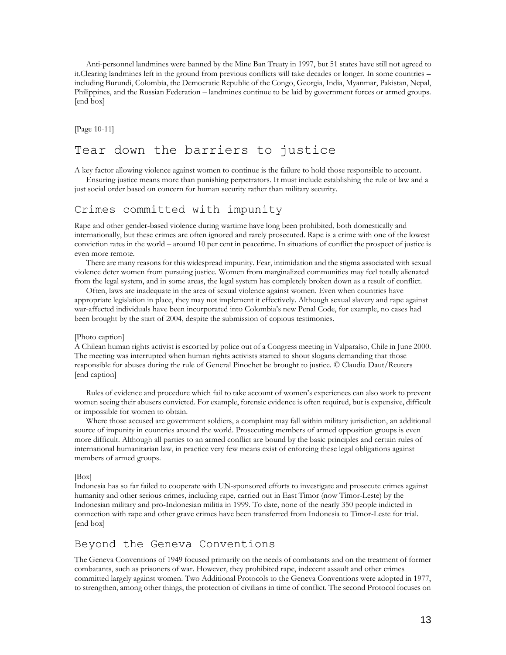Anti-personnel landmines were banned by the Mine Ban Treaty in 1997, but 51 states have still not agreed to it.Clearing landmines left in the ground from previous conflicts will take decades or longer. In some countries – including Burundi, Colombia, the Democratic Republic of the Congo, Georgia, India, Myanmar, Pakistan, Nepal, Philippines, and the Russian Federation – landmines continue to be laid by government forces or armed groups. [end box]

[Page 10-11]

## Tear down the barriers to justice

A key factor allowing violence against women to continue is the failure to hold those responsible to account.

Ensuring justice means more than punishing perpetrators. It must include establishing the rule of law and a just social order based on concern for human security rather than military security.

## Crimes committed with impunity

Rape and other gender-based violence during wartime have long been prohibited, both domestically and internationally, but these crimes are often ignored and rarely prosecuted. Rape is a crime with one of the lowest conviction rates in the world – around 10 per cent in peacetime. In situations of conflict the prospect of justice is even more remote.

There are many reasons for this widespread impunity. Fear, intimidation and the stigma associated with sexual violence deter women from pursuing justice. Women from marginalized communities may feel totally alienated from the legal system, and in some areas, the legal system has completely broken down as a result of conflict.

Often, laws are inadequate in the area of sexual violence against women. Even when countries have appropriate legislation in place, they may not implement it effectively. Although sexual slavery and rape against war-affected individuals have been incorporated into Colombia's new Penal Code, for example, no cases had been brought by the start of 2004, despite the submission of copious testimonies.

#### [Photo caption]

A Chilean human rights activist is escorted by police out of a Congress meeting in Valparaíso, Chile in June 2000. The meeting was interrupted when human rights activists started to shout slogans demanding that those responsible for abuses during the rule of General Pinochet be brought to justice. © Claudia Daut/Reuters [end caption]

Rules of evidence and procedure which fail to take account of women's experiences can also work to prevent women seeing their abusers convicted. For example, forensic evidence is often required, but is expensive, difficult or impossible for women to obtain.

Where those accused are government soldiers, a complaint may fall within military jurisdiction, an additional source of impunity in countries around the world. Prosecuting members of armed opposition groups is even more difficult. Although all parties to an armed conflict are bound by the basic principles and certain rules of international humanitarian law, in practice very few means exist of enforcing these legal obligations against members of armed groups.

#### [Box]

Indonesia has so far failed to cooperate with UN-sponsored efforts to investigate and prosecute crimes against humanity and other serious crimes, including rape, carried out in East Timor (now Timor-Leste) by the Indonesian military and pro-Indonesian militia in 1999. To date, none of the nearly 350 people indicted in connection with rape and other grave crimes have been transferred from Indonesia to Timor-Leste for trial. [end box]

## Beyond the Geneva Conventions

The Geneva Conventions of 1949 focused primarily on the needs of combatants and on the treatment of former combatants, such as prisoners of war. However, they prohibited rape, indecent assault and other crimes committed largely against women. Two Additional Protocols to the Geneva Conventions were adopted in 1977, to strengthen, among other things, the protection of civilians in time of conflict. The second Protocol focuses on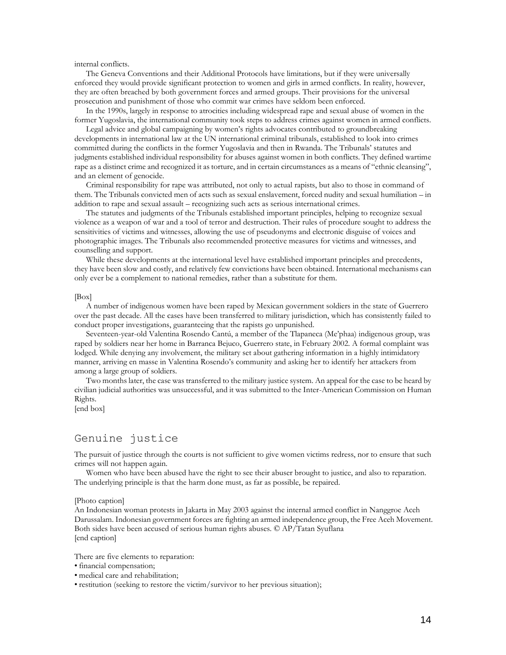internal conflicts.

The Geneva Conventions and their Additional Protocols have limitations, but if they were universally enforced they would provide significant protection to women and girls in armed conflicts. In reality, however, they are often breached by both government forces and armed groups. Their provisions for the universal prosecution and punishment of those who commit war crimes have seldom been enforced.

In the 1990s, largely in response to atrocities including widespread rape and sexual abuse of women in the former Yugoslavia, the international community took steps to address crimes against women in armed conflicts.

Legal advice and global campaigning by women's rights advocates contributed to groundbreaking developments in international law at the UN international criminal tribunals, established to look into crimes committed during the conflicts in the former Yugoslavia and then in Rwanda. The Tribunals' statutes and judgments established individual responsibility for abuses against women in both conflicts. They defined wartime rape as a distinct crime and recognized it as torture, and in certain circumstances as a means of "ethnic cleansing", and an element of genocide.

Criminal responsibility for rape was attributed, not only to actual rapists, but also to those in command of them. The Tribunals convicted men of acts such as sexual enslavement, forced nudity and sexual humiliation – in addition to rape and sexual assault – recognizing such acts as serious international crimes.

The statutes and judgments of the Tribunals established important principles, helping to recognize sexual violence as a weapon of war and a tool of terror and destruction. Their rules of procedure sought to address the sensitivities of victims and witnesses, allowing the use of pseudonyms and electronic disguise of voices and photographic images. The Tribunals also recommended protective measures for victims and witnesses, and counselling and support.

While these developments at the international level have established important principles and precedents, they have been slow and costly, and relatively few convictions have been obtained. International mechanisms can only ever be a complement to national remedies, rather than a substitute for them.

#### [Box]

A number of indigenous women have been raped by Mexican government soldiers in the state of Guerrero over the past decade. All the cases have been transferred to military jurisdiction, which has consistently failed to conduct proper investigations, guaranteeing that the rapists go unpunished.

Seventeen-year-old Valentina Rosendo Cantú, a member of the Tlapaneca (Me'phaa) indigenous group, was raped by soldiers near her home in Barranca Bejuco, Guerrero state, in February 2002. A formal complaint was lodged. While denying any involvement, the military set about gathering information in a highly intimidatory manner, arriving en masse in Valentina Rosendo's community and asking her to identify her attackers from among a large group of soldiers.

Two months later, the case was transferred to the military justice system. An appeal for the case to be heard by civilian judicial authorities was unsuccessful, and it was submitted to the Inter-American Commission on Human Rights.

[end box]

## Genuine justice

The pursuit of justice through the courts is not sufficient to give women victims redress, nor to ensure that such crimes will not happen again.

Women who have been abused have the right to see their abuser brought to justice, and also to reparation. The underlying principle is that the harm done must, as far as possible, be repaired.

#### [Photo caption]

An Indonesian woman protests in Jakarta in May 2003 against the internal armed conflict in Nanggroe Aceh Darussalam. Indonesian government forces are fighting an armed independence group, the Free Aceh Movement. Both sides have been accused of serious human rights abuses. © AP/Tatan Syuflana [end caption]

There are five elements to reparation:

- financial compensation;
- medical care and rehabilitation;

• restitution (seeking to restore the victim/survivor to her previous situation);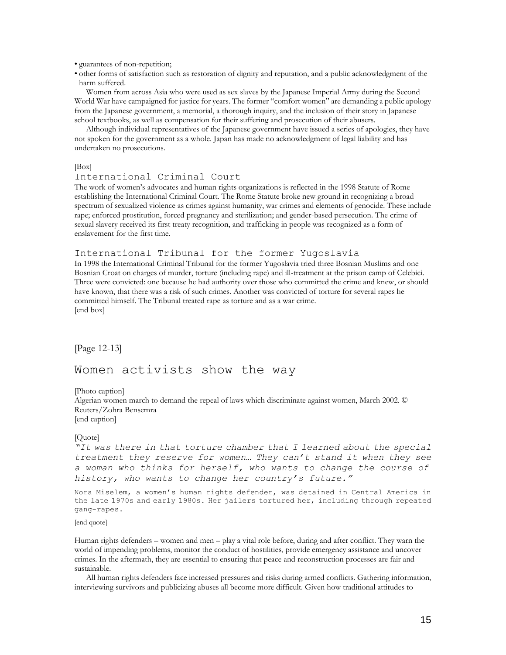• guarantees of non-repetition;

• other forms of satisfaction such as restoration of dignity and reputation, and a public acknowledgment of the harm suffered.

Women from across Asia who were used as sex slaves by the Japanese Imperial Army during the Second World War have campaigned for justice for years. The former "comfort women" are demanding a public apology from the Japanese government, a memorial, a thorough inquiry, and the inclusion of their story in Japanese school textbooks, as well as compensation for their suffering and prosecution of their abusers.

Although individual representatives of the Japanese government have issued a series of apologies, they have not spoken for the government as a whole. Japan has made no acknowledgment of legal liability and has undertaken no prosecutions.

[Box]

#### International Criminal Court

The work of women's advocates and human rights organizations is reflected in the 1998 Statute of Rome establishing the International Criminal Court. The Rome Statute broke new ground in recognizing a broad spectrum of sexualized violence as crimes against humanity, war crimes and elements of genocide. These include rape; enforced prostitution, forced pregnancy and sterilization; and gender-based persecution. The crime of sexual slavery received its first treaty recognition, and trafficking in people was recognized as a form of enslavement for the first time.

#### International Tribunal for the former Yugoslavia

In 1998 the International Criminal Tribunal for the former Yugoslavia tried three Bosnian Muslims and one Bosnian Croat on charges of murder, torture (including rape) and ill-treatment at the prison camp of Celebici. Three were convicted: one because he had authority over those who committed the crime and knew, or should have known, that there was a risk of such crimes. Another was convicted of torture for several rapes he committed himself. The Tribunal treated rape as torture and as a war crime. [end box]

[Page 12-13]

## Women activists show the way

[Photo caption]

Algerian women march to demand the repeal of laws which discriminate against women, March 2002. © Reuters/Zohra Bensemra [end caption]

#### [Quote]

*"It was there in that torture chamber that I learned about the special treatment they reserve for women… They can't stand it when they see a woman who thinks for herself, who wants to change the course of history, who wants to change her country's future."*

Nora Miselem, a women's human rights defender, was detained in Central America in the late 1970s and early 1980s. Her jailers tortured her, including through repeated gang-rapes.

[end quote]

Human rights defenders – women and men – play a vital role before, during and after conflict. They warn the world of impending problems, monitor the conduct of hostilities, provide emergency assistance and uncover crimes. In the aftermath, they are essential to ensuring that peace and reconstruction processes are fair and sustainable.

All human rights defenders face increased pressures and risks during armed conflicts. Gathering information, interviewing survivors and publicizing abuses all become more difficult. Given how traditional attitudes to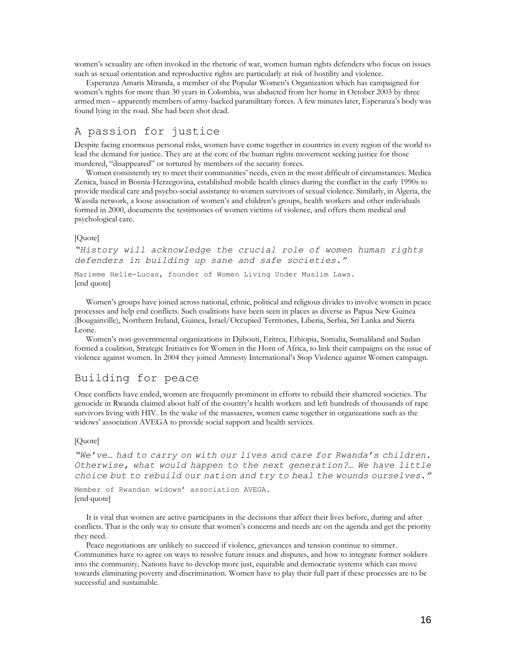women's sexuality are often invoked in the rhetoric of war, women human rights defenders who focus on issues such as sexual orientation and reproductive rights are particularly at risk of hostility and violence.

Esperanza Amaris Miranda, a member of the Popular Women's Organization which has campaigned for women's rights for more than 30 years in Colombia, was abducted from her home in October 2003 by three armed men – apparently members of army-backed paramilitary forces. A few minutes later, Esperanza's body was found lying in the road. She had been shot dead.

## A passion for justice

Despite facing enormous personal risks, women have come together in countries in every region of the world to lead the demand for justice. They are at the core of the human rights movement seeking justice for those murdered, "disappeared" or tortured by members of the security forces.

Women consistently try to meet their communities' needs, even in the most difficult of circumstances. Medica Zenica, based in Bosnia-Herzegovina, established mobile health clinics during the conflict in the early 1990s to provide medical care and psycho-social assistance to women survivors of sexual violence. Similarly, in Algeria, the Wassila network, a loose association of women's and children's groups, health workers and other individuals formed in 2000, documents the testimonies of women victims of violence, and offers them medical and psychological care.

#### [Quote]

*"History will acknowledge the crucial role of women human rights defenders in building up sane and safe societies."* 

Marieme Helie-Lucas, founder of Women Living Under Muslim Laws. [end quote]

Women's groups have joined across national, ethnic, political and religious divides to involve women in peace processes and help end conflicts. Such coalitions have been seen in places as diverse as Papua New Guinea (Bougainville), Northern Ireland, Guinea, Israel/Occupied Territories, Liberia, Serbia, Sri Lanka and Sierra Leone.

Women's non-governmental organizations in Djibouti, Eritrea, Ethiopia, Somalia, Somaliland and Sudan formed a coalition, Strategic Initiatives for Women in the Horn of Africa, to link their campaigns on the issue of violence against women. In 2004 they joined Amnesty International's Stop Violence against Women campaign.

## Building for peace

Once conflicts have ended, women are frequently prominent in efforts to rebuild their shattered societies. The genocide in Rwanda claimed about half of the country's health workers and left hundreds of thousands of rape survivors living with HIV. In the wake of the massacres, women came together in organizations such as the widows' association AVEGA to provide social support and health services.

#### [Quote]

*"We've… had to carry on with our lives and care for Rwanda's children. Otherwise, what would happen to the next generation?… We have little choice but to rebuild our nation and try to heal the wounds ourselves."*

Member of Rwandan widows' association AVEGA. [end quote]

It is vital that women are active participants in the decisions that affect their lives before, during and after conflicts. That is the only way to ensure that women's concerns and needs are on the agenda and get the priority they need.

Peace negotiations are unlikely to succeed if violence, grievances and tension continue to simmer. Communities have to agree on ways to resolve future issues and disputes, and how to integrate former soldiers into the community. Nations have to develop more just, equitable and democratic systems which can move towards eliminating poverty and discrimination. Women have to play their full part if these processes are to be successful and sustainable.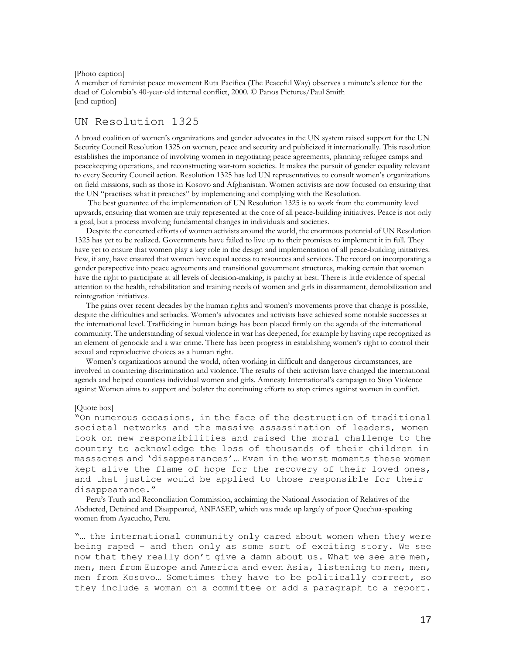[Photo caption]

A member of feminist peace movement Ruta Pacifica (The Peaceful Way) observes a minute's silence for the dead of Colombia's 40-year-old internal conflict, 2000. © Panos Pictures/Paul Smith [end caption]

## UN Resolution 1325

A broad coalition of women's organizations and gender advocates in the UN system raised support for the UN Security Council Resolution 1325 on women, peace and security and publicized it internationally. This resolution establishes the importance of involving women in negotiating peace agreements, planning refugee camps and peacekeeping operations, and reconstructing war-torn societies. It makes the pursuit of gender equality relevant to every Security Council action. Resolution 1325 has led UN representatives to consult women's organizations on field missions, such as those in Kosovo and Afghanistan. Women activists are now focused on ensuring that the UN "practises what it preaches" by implementing and complying with the Resolution.

The best guarantee of the implementation of UN Resolution 1325 is to work from the community level upwards, ensuring that women are truly represented at the core of all peace-building initiatives. Peace is not only a goal, but a process involving fundamental changes in individuals and societies.

Despite the concerted efforts of women activists around the world, the enormous potential of UN Resolution 1325 has yet to be realized. Governments have failed to live up to their promises to implement it in full. They have yet to ensure that women play a key role in the design and implementation of all peace-building initiatives. Few, if any, have ensured that women have equal access to resources and services. The record on incorporating a gender perspective into peace agreements and transitional government structures, making certain that women have the right to participate at all levels of decision-making, is patchy at best. There is little evidence of special attention to the health, rehabilitation and training needs of women and girls in disarmament, demobilization and reintegration initiatives.

The gains over recent decades by the human rights and women's movements prove that change is possible, despite the difficulties and setbacks. Women's advocates and activists have achieved some notable successes at the international level. Trafficking in human beings has been placed firmly on the agenda of the international community. The understanding of sexual violence in war has deepened, for example by having rape recognized as an element of genocide and a war crime. There has been progress in establishing women's right to control their sexual and reproductive choices as a human right.

Women's organizations around the world, often working in difficult and dangerous circumstances, are involved in countering discrimination and violence. The results of their activism have changed the international agenda and helped countless individual women and girls. Amnesty International's campaign to Stop Violence against Women aims to support and bolster the continuing efforts to stop crimes against women in conflict.

#### [Quote box]

"On numerous occasions, in the face of the destruction of traditional societal networks and the massive assassination of leaders, women took on new responsibilities and raised the moral challenge to the country to acknowledge the loss of thousands of their children in massacres and 'disappearances'… Even in the worst moments these women kept alive the flame of hope for the recovery of their loved ones, and that justice would be applied to those responsible for their disappearance."

Peru's Truth and Reconciliation Commission, acclaiming the National Association of Relatives of the Abducted, Detained and Disappeared, ANFASEP, which was made up largely of poor Quechua-speaking women from Ayacucho, Peru.

"… the international community only cared about women when they were being raped – and then only as some sort of exciting story. We see now that they really don't give a damn about us. What we see are men, men, men from Europe and America and even Asia, listening to men, men, men from Kosovo... Sometimes they have to be politically correct, so they include a woman on a committee or add a paragraph to a report.